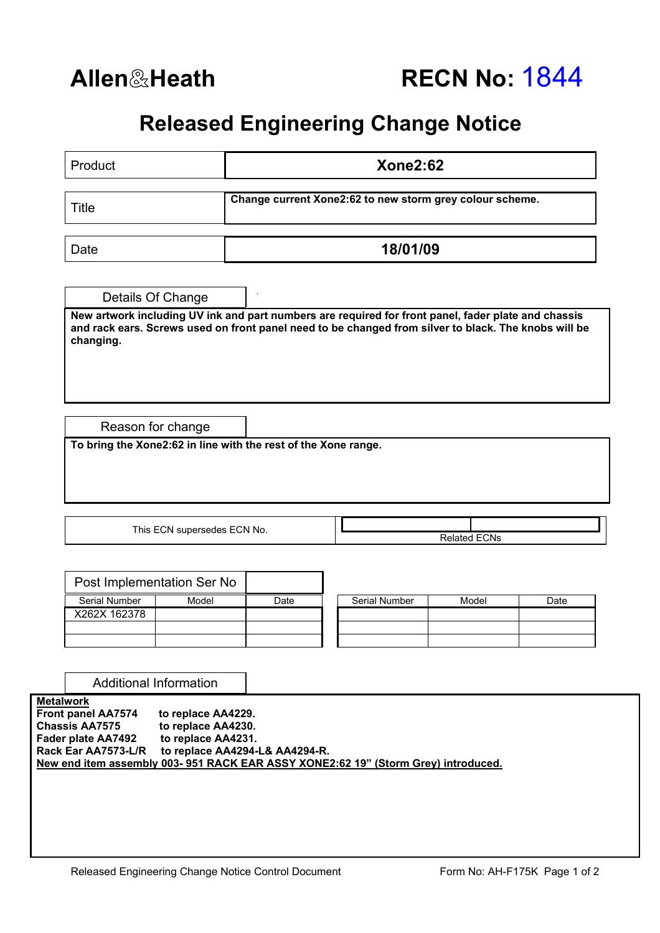## **Released Engineering Change Notice**

| Details Of Change<br>Reason for change<br>To bring the Xone2:62 in line with the rest of the Xone range.<br>This ECN supersedes ECN No.<br>Post Implementation Ser No |      | 18/01/09                       | Change current Xone2:62 to new storm grey colour scheme.<br>New artwork including UV ink and part numbers are required for front panel, fader plate and chassis<br>and rack ears. Screws used on front panel need to be changed from silver to black. The knobs will be<br><b>Related ECNs</b> |                                                                                   |
|-----------------------------------------------------------------------------------------------------------------------------------------------------------------------|------|--------------------------------|------------------------------------------------------------------------------------------------------------------------------------------------------------------------------------------------------------------------------------------------------------------------------------------------|-----------------------------------------------------------------------------------|
|                                                                                                                                                                       |      |                                |                                                                                                                                                                                                                                                                                                |                                                                                   |
|                                                                                                                                                                       |      |                                |                                                                                                                                                                                                                                                                                                |                                                                                   |
|                                                                                                                                                                       |      |                                |                                                                                                                                                                                                                                                                                                |                                                                                   |
|                                                                                                                                                                       |      |                                |                                                                                                                                                                                                                                                                                                |                                                                                   |
|                                                                                                                                                                       |      |                                |                                                                                                                                                                                                                                                                                                |                                                                                   |
|                                                                                                                                                                       |      |                                |                                                                                                                                                                                                                                                                                                |                                                                                   |
|                                                                                                                                                                       |      |                                |                                                                                                                                                                                                                                                                                                |                                                                                   |
|                                                                                                                                                                       |      |                                |                                                                                                                                                                                                                                                                                                |                                                                                   |
|                                                                                                                                                                       |      |                                |                                                                                                                                                                                                                                                                                                |                                                                                   |
| Model                                                                                                                                                                 | Date | Serial Number                  | Model                                                                                                                                                                                                                                                                                          | Date                                                                              |
|                                                                                                                                                                       |      |                                |                                                                                                                                                                                                                                                                                                |                                                                                   |
| <b>Additional Information</b>                                                                                                                                         |      |                                |                                                                                                                                                                                                                                                                                                |                                                                                   |
| to replace AA4229.<br>to replace AA4230.<br>to replace AA4231.                                                                                                        |      |                                |                                                                                                                                                                                                                                                                                                |                                                                                   |
|                                                                                                                                                                       |      | to replace AA4294-L& AA4294-R. |                                                                                                                                                                                                                                                                                                | New end item assembly 003-951 RACK EAR ASSY XONE2:62 19" (Storm Grey) introduced. |